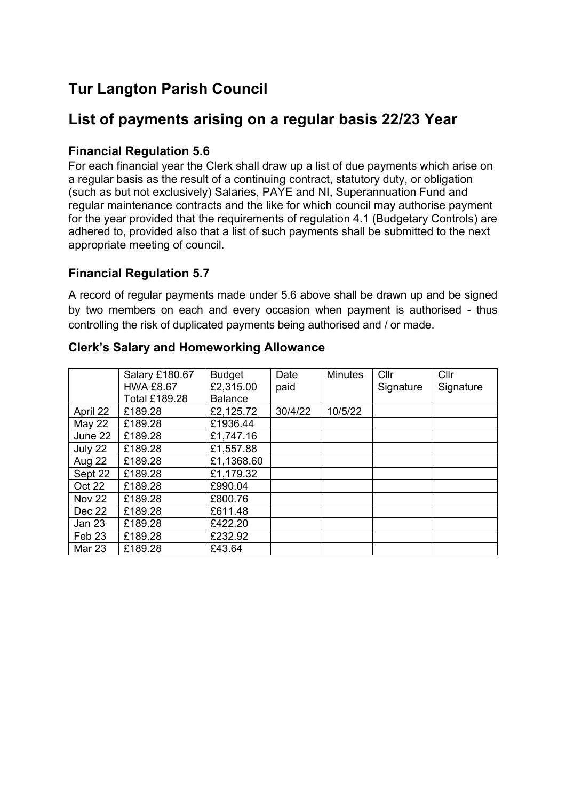# **Tur Langton Parish Council**

## **List of payments arising on a regular basis 22/23 Year**

#### **Financial Regulation 5.6**

For each financial year the Clerk shall draw up a list of due payments which arise on a regular basis as the result of a continuing contract, statutory duty, or obligation (such as but not exclusively) Salaries, PAYE and NI, Superannuation Fund and regular maintenance contracts and the like for which council may authorise payment for the year provided that the requirements of regulation 4.1 (Budgetary Controls) are adhered to, provided also that a list of such payments shall be submitted to the next appropriate meeting of council.

#### **Financial Regulation 5.7**

A record of regular payments made under 5.6 above shall be drawn up and be signed by two members on each and every occasion when payment is authorised - thus controlling the risk of duplicated payments being authorised and / or made.

|                   | Salary £180.67       | <b>Budget</b>  | Date    | <b>Minutes</b> | Cllr      | Cllr      |
|-------------------|----------------------|----------------|---------|----------------|-----------|-----------|
|                   | <b>HWA £8.67</b>     | £2,315.00      | paid    |                | Signature | Signature |
|                   | <b>Total £189.28</b> | <b>Balance</b> |         |                |           |           |
| April 22          | £189.28              | £2,125.72      | 30/4/22 | 10/5/22        |           |           |
| May 22            | £189.28              | £1936.44       |         |                |           |           |
| June 22           | £189.28              | £1,747.16      |         |                |           |           |
| July 22           | £189.28              | £1,557.88      |         |                |           |           |
| Aug 22            | £189.28              | £1,1368.60     |         |                |           |           |
| Sept 22           | £189.28              | £1,179.32      |         |                |           |           |
| Oct 22            | £189.28              | £990.04        |         |                |           |           |
| Nov 22            | £189.28              | £800.76        |         |                |           |           |
| Dec 22            | £189.28              | £611.48        |         |                |           |           |
| <b>Jan 23</b>     | £189.28              | £422.20        |         |                |           |           |
| Feb <sub>23</sub> | £189.28              | £232.92        |         |                |           |           |
| <b>Mar 23</b>     | £189.28              | £43.64         |         |                |           |           |

#### **Clerk's Salary and Homeworking Allowance**